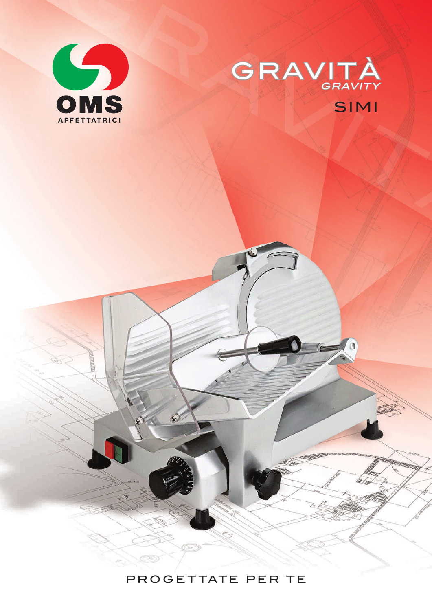



## PROGETTATE PER TE

Certi

 $\mathcal{L}$